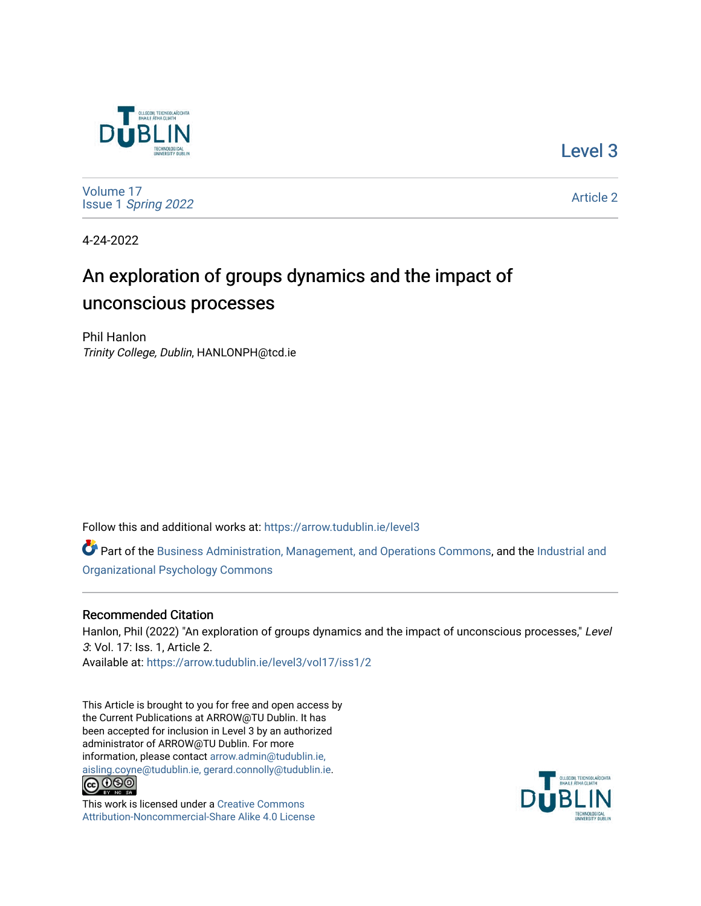

[Level 3](https://arrow.tudublin.ie/level3) 

[Volume 17](https://arrow.tudublin.ie/level3/vol17) Issue 1 [Spring 2022](https://arrow.tudublin.ie/level3/vol17/iss1) 

[Article 2](https://arrow.tudublin.ie/level3/vol17/iss1/2) 

4-24-2022

# An exploration of groups dynamics and the impact of unconscious processes

Phil Hanlon Trinity College, Dublin, HANLONPH@tcd.ie

Follow this and additional works at: [https://arrow.tudublin.ie/level3](https://arrow.tudublin.ie/level3?utm_source=arrow.tudublin.ie%2Flevel3%2Fvol17%2Fiss1%2F2&utm_medium=PDF&utm_campaign=PDFCoverPages) 

Part of the [Business Administration, Management, and Operations Commons](http://network.bepress.com/hgg/discipline/623?utm_source=arrow.tudublin.ie%2Flevel3%2Fvol17%2Fiss1%2F2&utm_medium=PDF&utm_campaign=PDFCoverPages), and the [Industrial and](http://network.bepress.com/hgg/discipline/412?utm_source=arrow.tudublin.ie%2Flevel3%2Fvol17%2Fiss1%2F2&utm_medium=PDF&utm_campaign=PDFCoverPages)  [Organizational Psychology Commons](http://network.bepress.com/hgg/discipline/412?utm_source=arrow.tudublin.ie%2Flevel3%2Fvol17%2Fiss1%2F2&utm_medium=PDF&utm_campaign=PDFCoverPages)

### Recommended Citation

Hanlon, Phil (2022) "An exploration of groups dynamics and the impact of unconscious processes," Level 3: Vol. 17: Iss. 1, Article 2. Available at: [https://arrow.tudublin.ie/level3/vol17/iss1/2](https://arrow.tudublin.ie/level3/vol17/iss1/2?utm_source=arrow.tudublin.ie%2Flevel3%2Fvol17%2Fiss1%2F2&utm_medium=PDF&utm_campaign=PDFCoverPages) 

This Article is brought to you for free and open access by the Current Publications at ARROW@TU Dublin. It has been accepted for inclusion in Level 3 by an authorized administrator of ARROW@TU Dublin. For more information, please contact [arrow.admin@tudublin.ie,](mailto:arrow.admin@tudublin.ie,%20aisling.coyne@tudublin.ie,%20gerard.connolly@tudublin.ie)  [aisling.coyne@tudublin.ie, gerard.connolly@tudublin.ie](mailto:arrow.admin@tudublin.ie,%20aisling.coyne@tudublin.ie,%20gerard.connolly@tudublin.ie).<br>
co 000



This work is licensed under a [Creative Commons](http://creativecommons.org/licenses/by-nc-sa/4.0/) [Attribution-Noncommercial-Share Alike 4.0 License](http://creativecommons.org/licenses/by-nc-sa/4.0/)

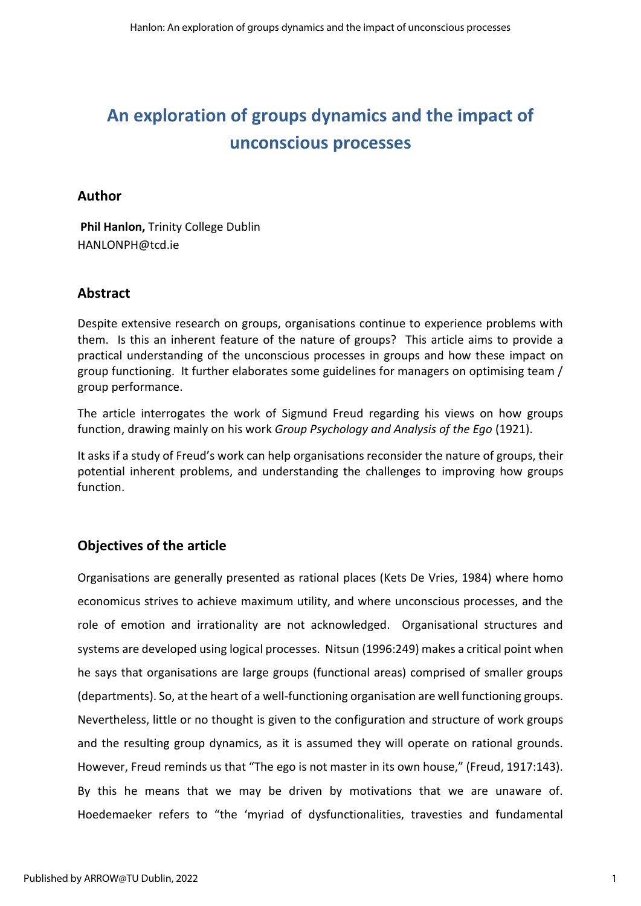# **An exploration of groups dynamics and the impact of unconscious processes**

# **Author**

**Phil Hanlon,** Trinity College Dublin HANLONPH@tcd.ie

# **Abstract**

Despite extensive research on groups, organisations continue to experience problems with them. Is this an inherent feature of the nature of groups? This article aims to provide a practical understanding of the unconscious processes in groups and how these impact on group functioning. It further elaborates some guidelines for managers on optimising team / group performance.

The article interrogates the work of Sigmund Freud regarding his views on how groups function, drawing mainly on his work *Group Psychology and Analysis of the Ego* (1921).

It asks if a study of Freud's work can help organisations reconsider the nature of groups, their potential inherent problems, and understanding the challenges to improving how groups function.

# **Objectives of the article**

Organisations are generally presented as rational places (Kets De Vries, 1984) where homo economicus strives to achieve maximum utility, and where unconscious processes, and the role of emotion and irrationality are not acknowledged. Organisational structures and systems are developed using logical processes. Nitsun (1996:249) makes a critical point when he says that organisations are large groups (functional areas) comprised of smaller groups (departments). So, at the heart of a well-functioning organisation are well functioning groups. Nevertheless, little or no thought is given to the configuration and structure of work groups and the resulting group dynamics, as it is assumed they will operate on rational grounds. However, Freud reminds us that "The ego is not master in its own house," (Freud, 1917:143). By this he means that we may be driven by motivations that we are unaware of. Hoedemaeker refers to "the 'myriad of dysfunctionalities, travesties and fundamental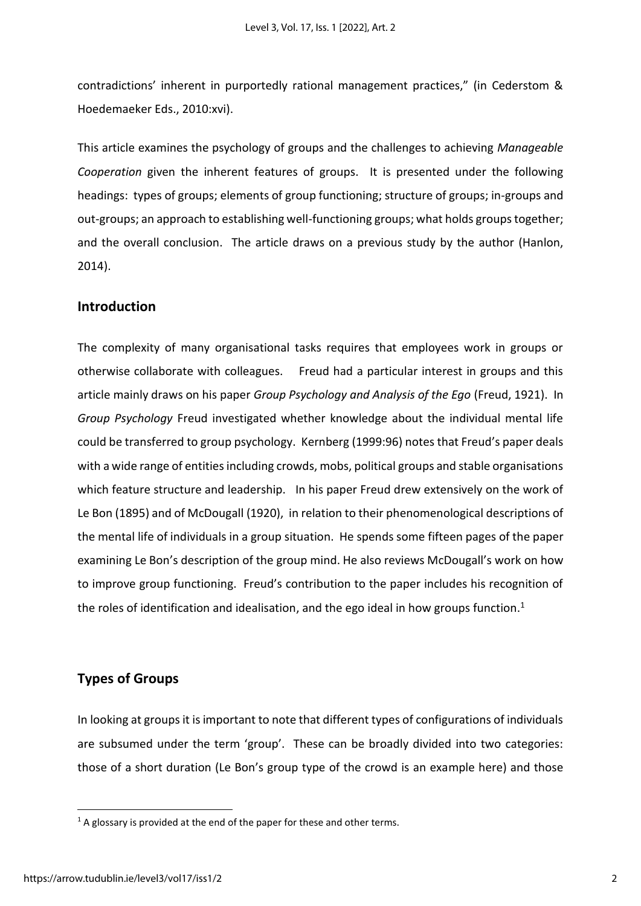contradictions' inherent in purportedly rational management practices," (in Cederstom & Hoedemaeker Eds., 2010:xvi).

This article examines the psychology of groups and the challenges to achieving *Manageable Cooperation* given the inherent features of groups. It is presented under the following headings: types of groups; elements of group functioning; structure of groups; in-groups and out-groups; an approach to establishing well-functioning groups; what holds groups together; and the overall conclusion. The article draws on a previous study by the author (Hanlon, 2014).

### **Introduction**

The complexity of many organisational tasks requires that employees work in groups or otherwise collaborate with colleagues. Freud had a particular interest in groups and this article mainly draws on his paper *Group Psychology and Analysis of the Ego* (Freud, 1921). In *Group Psychology* Freud investigated whether knowledge about the individual mental life could be transferred to group psychology. Kernberg (1999:96) notes that Freud's paper deals with a wide range of entities including crowds, mobs, political groups and stable organisations which feature structure and leadership. In his paper Freud drew extensively on the work of Le Bon (1895) and of McDougall (1920), in relation to their phenomenological descriptions of the mental life of individuals in a group situation. He spends some fifteen pages of the paper examining Le Bon's description of the group mind. He also reviews McDougall's work on how to improve group functioning. Freud's contribution to the paper includes his recognition of the roles of identification and idealisation, and the ego ideal in how groups function.<sup>1</sup>

# **Types of Groups**

In looking at groups it is important to note that different types of configurations of individuals are subsumed under the term 'group'. These can be broadly divided into two categories: those of a short duration (Le Bon's group type of the crowd is an example here) and those

 $1$  A glossary is provided at the end of the paper for these and other terms.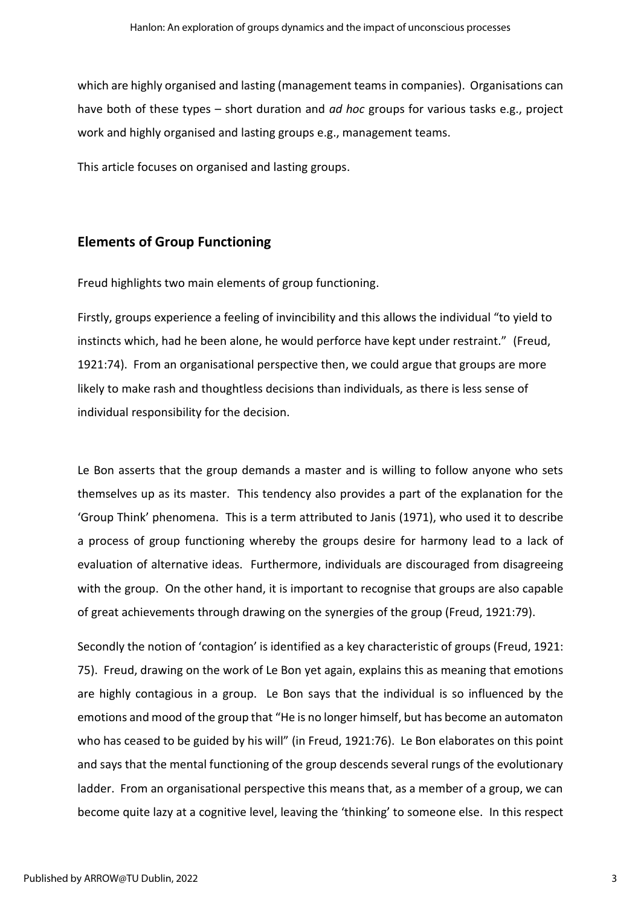which are highly organised and lasting (management teams in companies). Organisations can have both of these types – short duration and *ad hoc* groups for various tasks e.g., project work and highly organised and lasting groups e.g., management teams.

This article focuses on organised and lasting groups.

# **Elements of Group Functioning**

Freud highlights two main elements of group functioning.

Firstly, groups experience a feeling of invincibility and this allows the individual "to yield to instincts which, had he been alone, he would perforce have kept under restraint." (Freud, 1921:74). From an organisational perspective then, we could argue that groups are more likely to make rash and thoughtless decisions than individuals, as there is less sense of individual responsibility for the decision.

Le Bon asserts that the group demands a master and is willing to follow anyone who sets themselves up as its master. This tendency also provides a part of the explanation for the 'Group Think' phenomena. This is a term attributed to Janis (1971), who used it to describe a process of group functioning whereby the groups desire for harmony lead to a lack of evaluation of alternative ideas. Furthermore, individuals are discouraged from disagreeing with the group. On the other hand, it is important to recognise that groups are also capable of great achievements through drawing on the synergies of the group (Freud, 1921:79).

Secondly the notion of 'contagion' is identified as a key characteristic of groups (Freud, 1921: 75). Freud, drawing on the work of Le Bon yet again, explains this as meaning that emotions are highly contagious in a group. Le Bon says that the individual is so influenced by the emotions and mood of the group that "He is no longer himself, but has become an automaton who has ceased to be guided by his will" (in Freud, 1921:76). Le Bon elaborates on this point and says that the mental functioning of the group descends several rungs of the evolutionary ladder. From an organisational perspective this means that, as a member of a group, we can become quite lazy at a cognitive level, leaving the 'thinking' to someone else. In this respect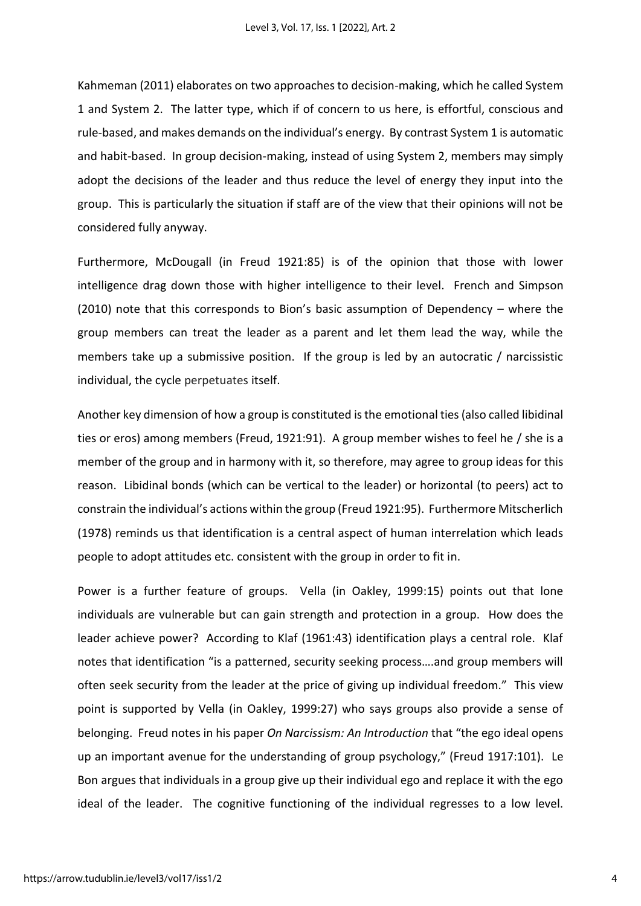Kahmeman (2011) elaborates on two approaches to decision-making, which he called System 1 and System 2. The latter type, which if of concern to us here, is effortful, conscious and rule-based, and makes demands on the individual's energy. By contrast System 1 is automatic and habit-based. In group decision-making, instead of using System 2, members may simply adopt the decisions of the leader and thus reduce the level of energy they input into the group. This is particularly the situation if staff are of the view that their opinions will not be considered fully anyway.

Furthermore, McDougall (in Freud 1921:85) is of the opinion that those with lower intelligence drag down those with higher intelligence to their level. French and Simpson (2010) note that this corresponds to Bion's basic assumption of Dependency – where the group members can treat the leader as a parent and let them lead the way, while the members take up a submissive position. If the group is led by an autocratic / narcissistic individual, the cycle perpetuates itself.

Another key dimension of how a group is constituted is the emotional ties (also called libidinal ties or eros) among members (Freud, 1921:91). A group member wishes to feel he / she is a member of the group and in harmony with it, so therefore, may agree to group ideas for this reason. Libidinal bonds (which can be vertical to the leader) or horizontal (to peers) act to constrain the individual's actions within the group (Freud 1921:95). Furthermore Mitscherlich (1978) reminds us that identification is a central aspect of human interrelation which leads people to adopt attitudes etc. consistent with the group in order to fit in.

Power is a further feature of groups. Vella (in Oakley, 1999:15) points out that lone individuals are vulnerable but can gain strength and protection in a group. How does the leader achieve power? According to Klaf (1961:43) identification plays a central role. Klaf notes that identification "is a patterned, security seeking process….and group members will often seek security from the leader at the price of giving up individual freedom." This view point is supported by Vella (in Oakley, 1999:27) who says groups also provide a sense of belonging. Freud notes in his paper *On Narcissism: An Introduction* that "the ego ideal opens up an important avenue for the understanding of group psychology," (Freud 1917:101). Le Bon argues that individuals in a group give up their individual ego and replace it with the ego ideal of the leader. The cognitive functioning of the individual regresses to a low level.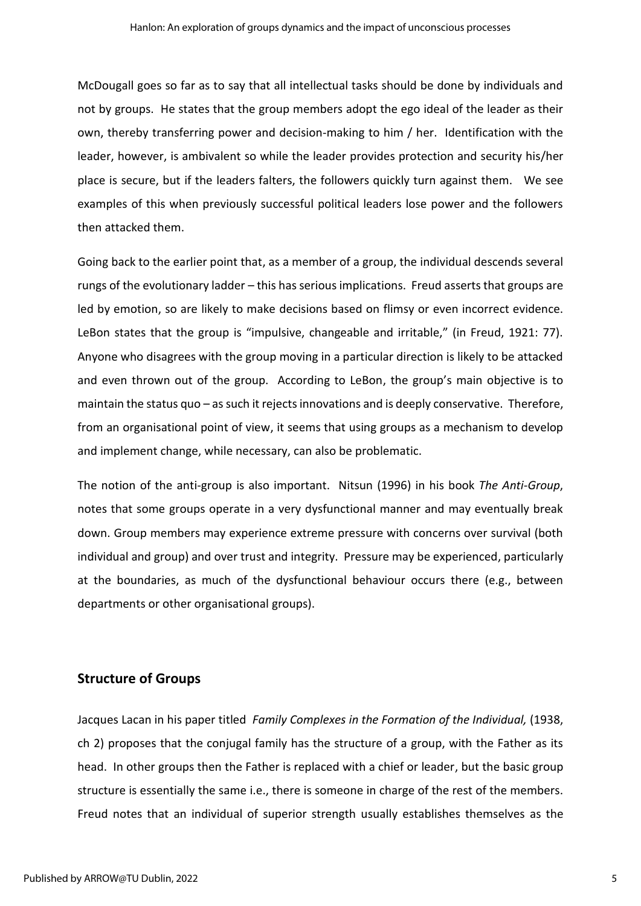McDougall goes so far as to say that all intellectual tasks should be done by individuals and not by groups. He states that the group members adopt the ego ideal of the leader as their own, thereby transferring power and decision-making to him / her. Identification with the leader, however, is ambivalent so while the leader provides protection and security his/her place is secure, but if the leaders falters, the followers quickly turn against them. We see examples of this when previously successful political leaders lose power and the followers then attacked them.

Going back to the earlier point that, as a member of a group, the individual descends several rungs of the evolutionary ladder – this has serious implications. Freud asserts that groups are led by emotion, so are likely to make decisions based on flimsy or even incorrect evidence. LeBon states that the group is "impulsive, changeable and irritable," (in Freud, 1921: 77). Anyone who disagrees with the group moving in a particular direction is likely to be attacked and even thrown out of the group. According to LeBon, the group's main objective is to maintain the status quo – as such it rejects innovations and is deeply conservative. Therefore, from an organisational point of view, it seems that using groups as a mechanism to develop and implement change, while necessary, can also be problematic.

The notion of the anti-group is also important. Nitsun (1996) in his book *The Anti-Group*, notes that some groups operate in a very dysfunctional manner and may eventually break down. Group members may experience extreme pressure with concerns over survival (both individual and group) and over trust and integrity. Pressure may be experienced, particularly at the boundaries, as much of the dysfunctional behaviour occurs there (e.g., between departments or other organisational groups).

# **Structure of Groups**

Jacques Lacan in his paper titled *Family Complexes in the Formation of the Individual,* (1938, ch 2) proposes that the conjugal family has the structure of a group, with the Father as its head. In other groups then the Father is replaced with a chief or leader, but the basic group structure is essentially the same i.e., there is someone in charge of the rest of the members. Freud notes that an individual of superior strength usually establishes themselves as the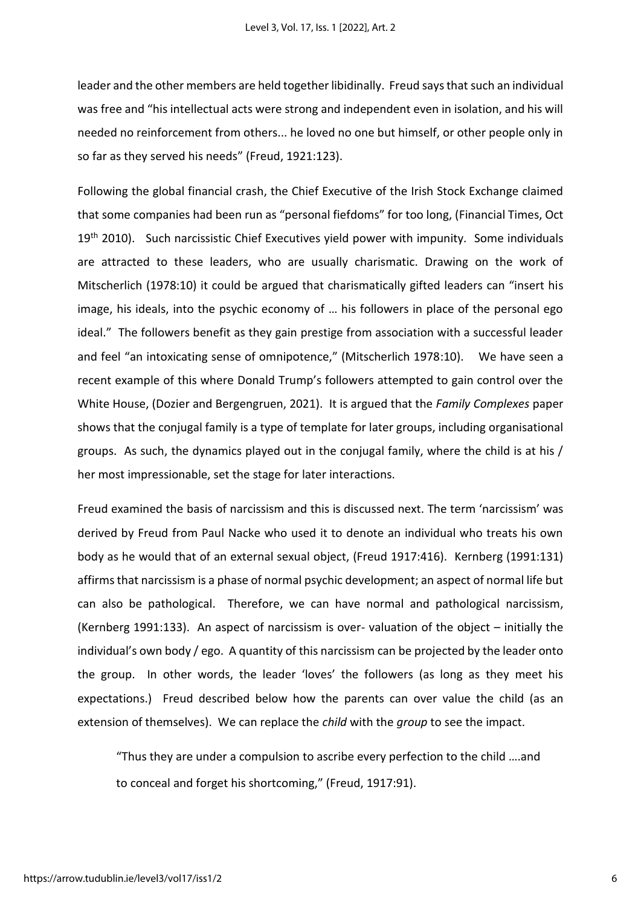leader and the other members are held together libidinally. Freud says that such an individual was free and "his intellectual acts were strong and independent even in isolation, and his will needed no reinforcement from others... he loved no one but himself, or other people only in so far as they served his needs" (Freud, 1921:123).

Following the global financial crash, the Chief Executive of the Irish Stock Exchange claimed that some companies had been run as "personal fiefdoms" for too long, (Financial Times, Oct 19<sup>th</sup> 2010). Such narcissistic Chief Executives yield power with impunity. Some individuals are attracted to these leaders, who are usually charismatic. Drawing on the work of Mitscherlich (1978:10) it could be argued that charismatically gifted leaders can "insert his image, his ideals, into the psychic economy of … his followers in place of the personal ego ideal." The followers benefit as they gain prestige from association with a successful leader and feel "an intoxicating sense of omnipotence," (Mitscherlich 1978:10). We have seen a recent example of this where Donald Trump's followers attempted to gain control over the White House, (Dozier and Bergengruen, 2021). It is argued that the *Family Complexes* paper shows that the conjugal family is a type of template for later groups, including organisational groups. As such, the dynamics played out in the conjugal family, where the child is at his / her most impressionable, set the stage for later interactions.

Freud examined the basis of narcissism and this is discussed next. The term 'narcissism' was derived by Freud from Paul Nacke who used it to denote an individual who treats his own body as he would that of an external sexual object, (Freud 1917:416). Kernberg (1991:131) affirms that narcissism is a phase of normal psychic development; an aspect of normal life but can also be pathological. Therefore, we can have normal and pathological narcissism, (Kernberg 1991:133). An aspect of narcissism is over- valuation of the object – initially the individual's own body / ego. A quantity of this narcissism can be projected by the leader onto the group. In other words, the leader 'loves' the followers (as long as they meet his expectations.) Freud described below how the parents can over value the child (as an extension of themselves). We can replace the *child* with the *group* to see the impact.

"Thus they are under a compulsion to ascribe every perfection to the child ….and to conceal and forget his shortcoming," (Freud, 1917:91).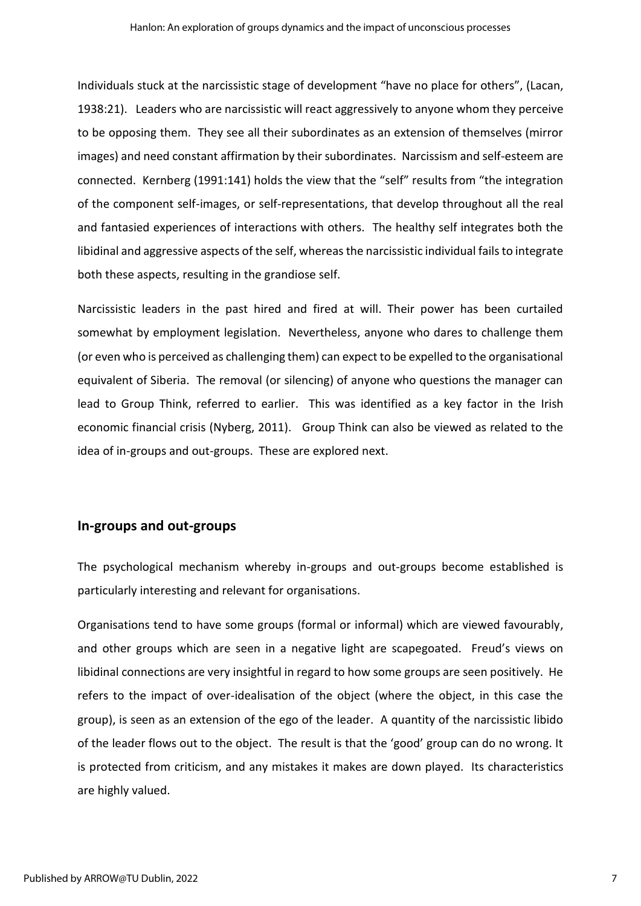Individuals stuck at the narcissistic stage of development "have no place for others", (Lacan, 1938:21). Leaders who are narcissistic will react aggressively to anyone whom they perceive to be opposing them. They see all their subordinates as an extension of themselves (mirror images) and need constant affirmation by their subordinates. Narcissism and self-esteem are connected. Kernberg (1991:141) holds the view that the "self" results from "the integration of the component self-images, or self-representations, that develop throughout all the real and fantasied experiences of interactions with others. The healthy self integrates both the libidinal and aggressive aspects of the self, whereas the narcissistic individual fails to integrate both these aspects, resulting in the grandiose self.

Narcissistic leaders in the past hired and fired at will. Their power has been curtailed somewhat by employment legislation. Nevertheless, anyone who dares to challenge them (or even who is perceived as challenging them) can expect to be expelled to the organisational equivalent of Siberia. The removal (or silencing) of anyone who questions the manager can lead to Group Think, referred to earlier. This was identified as a key factor in the Irish economic financial crisis (Nyberg, 2011). Group Think can also be viewed as related to the idea of in-groups and out-groups. These are explored next.

## **In-groups and out-groups**

The psychological mechanism whereby in-groups and out-groups become established is particularly interesting and relevant for organisations.

Organisations tend to have some groups (formal or informal) which are viewed favourably, and other groups which are seen in a negative light are scapegoated. Freud's views on libidinal connections are very insightful in regard to how some groups are seen positively. He refers to the impact of over-idealisation of the object (where the object, in this case the group), is seen as an extension of the ego of the leader. A quantity of the narcissistic libido of the leader flows out to the object. The result is that the 'good' group can do no wrong. It is protected from criticism, and any mistakes it makes are down played. Its characteristics are highly valued.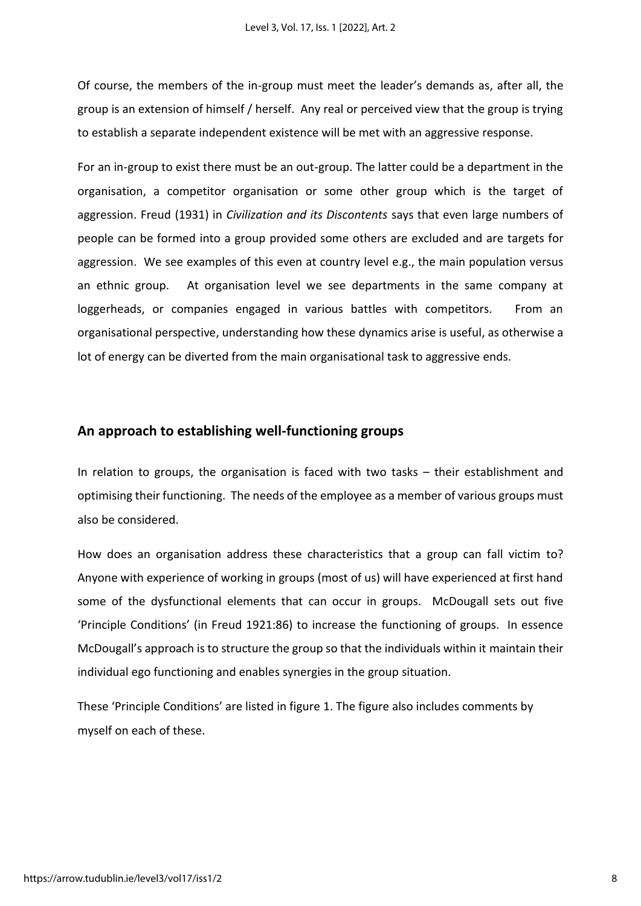Of course, the members of the in-group must meet the leader's demands as, after all, the group is an extension of himself / herself. Any real or perceived view that the group is trying to establish a separate independent existence will be met with an aggressive response.

For an in-group to exist there must be an out-group. The latter could be a department in the organisation, a competitor organisation or some other group which is the target of aggression. Freud (1931) in *Civilization and its Discontents* says that even large numbers of people can be formed into a group provided some others are excluded and are targets for aggression. We see examples of this even at country level e.g., the main population versus an ethnic group. At organisation level we see departments in the same company at loggerheads, or companies engaged in various battles with competitors. From an organisational perspective, understanding how these dynamics arise is useful, as otherwise a lot of energy can be diverted from the main organisational task to aggressive ends.

## **An approach to establishing well-functioning groups**

In relation to groups, the organisation is faced with two tasks – their establishment and optimising their functioning. The needs of the employee as a member of various groups must also be considered.

How does an organisation address these characteristics that a group can fall victim to? Anyone with experience of working in groups (most of us) will have experienced at first hand some of the dysfunctional elements that can occur in groups. McDougall sets out five 'Principle Conditions' (in Freud 1921:86) to increase the functioning of groups. In essence McDougall's approach is to structure the group so that the individuals within it maintain their individual ego functioning and enables synergies in the group situation.

These 'Principle Conditions' are listed in figure 1. The figure also includes comments by myself on each of these.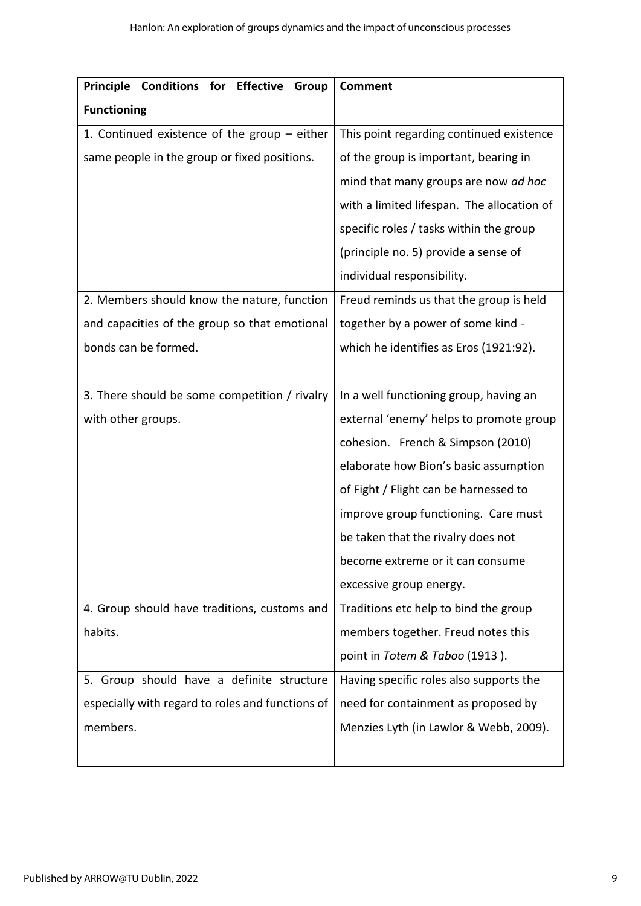| Principle Conditions for Effective<br>Group      | <b>Comment</b>                             |
|--------------------------------------------------|--------------------------------------------|
| <b>Functioning</b>                               |                                            |
| 1. Continued existence of the group - either     | This point regarding continued existence   |
| same people in the group or fixed positions.     | of the group is important, bearing in      |
|                                                  | mind that many groups are now ad hoc       |
|                                                  | with a limited lifespan. The allocation of |
|                                                  | specific roles / tasks within the group    |
|                                                  | (principle no. 5) provide a sense of       |
|                                                  | individual responsibility.                 |
| 2. Members should know the nature, function      | Freud reminds us that the group is held    |
| and capacities of the group so that emotional    | together by a power of some kind -         |
| bonds can be formed.                             | which he identifies as Eros (1921:92).     |
|                                                  |                                            |
| 3. There should be some competition / rivalry    | In a well functioning group, having an     |
| with other groups.                               | external 'enemy' helps to promote group    |
|                                                  | cohesion. French & Simpson (2010)          |
|                                                  | elaborate how Bion's basic assumption      |
|                                                  | of Fight / Flight can be harnessed to      |
|                                                  | improve group functioning. Care must       |
|                                                  | be taken that the rivalry does not         |
|                                                  | become extreme or it can consume           |
|                                                  | excessive group energy.                    |
| 4. Group should have traditions, customs and     | Traditions etc help to bind the group      |
| habits.                                          | members together. Freud notes this         |
|                                                  | point in Totem & Taboo (1913).             |
| 5. Group should have a definite structure        | Having specific roles also supports the    |
| especially with regard to roles and functions of | need for containment as proposed by        |
| members.                                         | Menzies Lyth (in Lawlor & Webb, 2009).     |
|                                                  |                                            |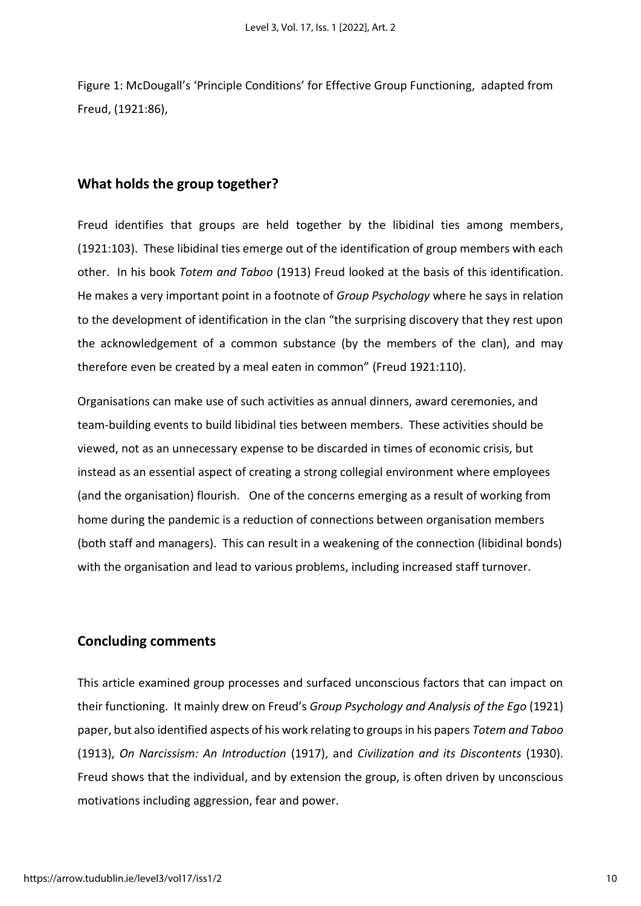Figure 1: McDougall's 'Principle Conditions' for Effective Group Functioning, adapted from Freud, (1921:86),

## **What holds the group together?**

Freud identifies that groups are held together by the libidinal ties among members, (1921:103). These libidinal ties emerge out of the identification of group members with each other. In his book *Totem and Taboo* (1913) Freud looked at the basis of this identification. He makes a very important point in a footnote of *Group Psychology* where he says in relation to the development of identification in the clan "the surprising discovery that they rest upon the acknowledgement of a common substance (by the members of the clan), and may therefore even be created by a meal eaten in common" (Freud 1921:110).

Organisations can make use of such activities as annual dinners, award ceremonies, and team-building events to build libidinal ties between members. These activities should be viewed, not as an unnecessary expense to be discarded in times of economic crisis, but instead as an essential aspect of creating a strong collegial environment where employees (and the organisation) flourish. One of the concerns emerging as a result of working from home during the pandemic is a reduction of connections between organisation members (both staff and managers). This can result in a weakening of the connection (libidinal bonds) with the organisation and lead to various problems, including increased staff turnover.

## **Concluding comments**

This article examined group processes and surfaced unconscious factors that can impact on their functioning. It mainly drew on Freud's *Group Psychology and Analysis of the Ego* (1921) paper, but also identified aspects of his work relating to groups in his papers *Totem and Taboo* (1913), *On Narcissism: An Introduction* (1917), and *Civilization and its Discontents* (1930). Freud shows that the individual, and by extension the group, is often driven by unconscious motivations including aggression, fear and power.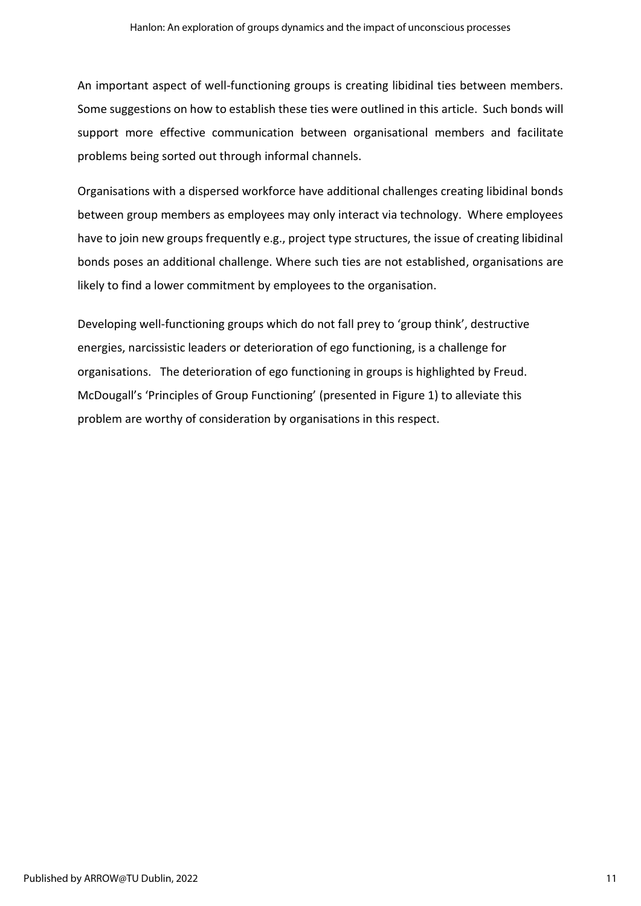An important aspect of well-functioning groups is creating libidinal ties between members. Some suggestions on how to establish these ties were outlined in this article. Such bonds will support more effective communication between organisational members and facilitate problems being sorted out through informal channels.

Organisations with a dispersed workforce have additional challenges creating libidinal bonds between group members as employees may only interact via technology. Where employees have to join new groups frequently e.g., project type structures, the issue of creating libidinal bonds poses an additional challenge. Where such ties are not established, organisations are likely to find a lower commitment by employees to the organisation.

Developing well-functioning groups which do not fall prey to 'group think', destructive energies, narcissistic leaders or deterioration of ego functioning, is a challenge for organisations. The deterioration of ego functioning in groups is highlighted by Freud. McDougall's 'Principles of Group Functioning' (presented in Figure 1) to alleviate this problem are worthy of consideration by organisations in this respect.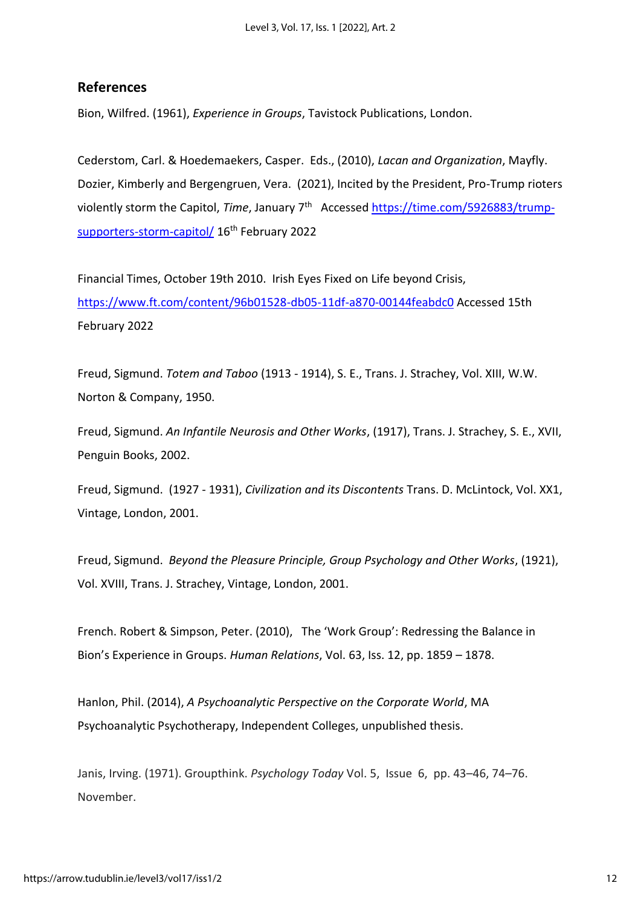# **References**

Bion, Wilfred. (1961), *Experience in Groups*, Tavistock Publications, London.

Cederstom, Carl. & Hoedemaekers, Casper. Eds., (2010), *Lacan and Organization*, Mayfly. Dozier, Kimberly and Bergengruen, Vera. (2021), Incited by the President, Pro-Trump rioters violently storm the Capitol, *Time*, January 7<sup>th</sup> Accessed **https://time.com/5926883/trump**[supporters-storm-capitol/](https://time.com/5926883/trump-supporters-storm-capitol/) 16<sup>th</sup> February 2022

Financial Times, October 19th 2010. Irish Eyes Fixed on Life beyond Crisis, <https://www.ft.com/content/96b01528-db05-11df-a870-00144feabdc0> Accessed 15th February 2022

Freud, Sigmund. *Totem and Taboo* (1913 - 1914), S. E., Trans. J. Strachey, Vol. XIII, W.W. Norton & Company, 1950.

Freud, Sigmund. *An Infantile Neurosis and Other Works*, (1917), Trans. J. Strachey, S. E., XVII, Penguin Books, 2002.

Freud, Sigmund. (1927 - 1931), *Civilization and its Discontents* Trans. D. McLintock, Vol. XX1, Vintage, London, 2001.

Freud, Sigmund. *Beyond the Pleasure Principle, Group Psychology and Other Works*, (1921), Vol. XVIII, Trans. J. Strachey, Vintage, London, 2001.

French. Robert & Simpson, Peter. (2010),The 'Work Group': Redressing the Balance in Bion's Experience in Groups. *Human Relations*, Vol. 63, Iss. 12, pp. 1859 – 1878.

Hanlon, Phil. (2014), *A Psychoanalytic Perspective on the Corporate World*, MA Psychoanalytic Psychotherapy, Independent Colleges, unpublished thesis.

Janis, Irving. (1971). Groupthink. *Psychology Today* Vol. 5, Issue 6, pp. 43–46, 74–76. November.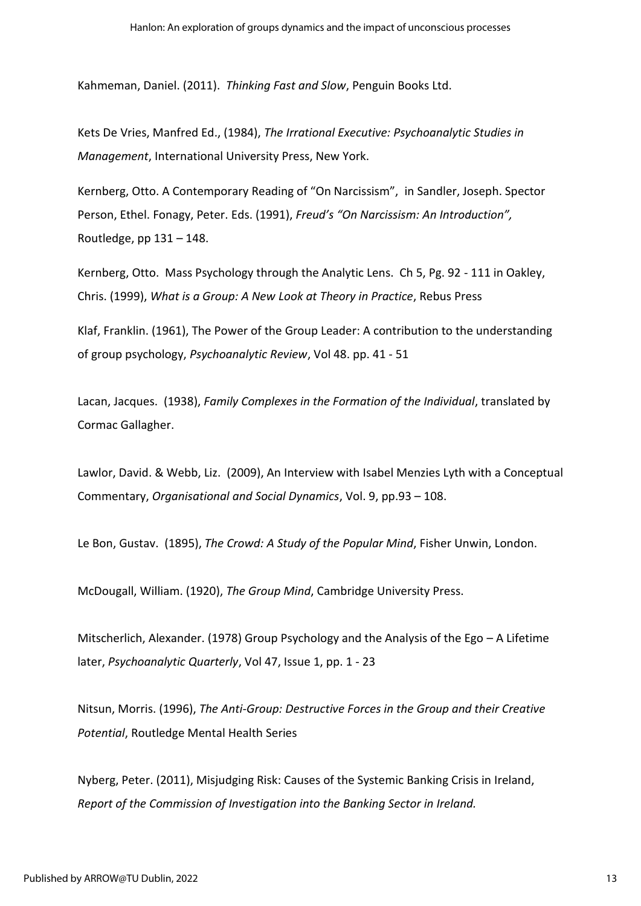Kahmeman, Daniel. (2011). *Thinking Fast and Slow*, Penguin Books Ltd.

Kets De Vries, Manfred Ed., (1984), *The Irrational Executive: Psychoanalytic Studies in Management*, International University Press, New York.

Kernberg, Otto. A Contemporary Reading of "On Narcissism", in Sandler, Joseph. Spector Person, Ethel. Fonagy, Peter. Eds. (1991), *Freud's "On Narcissism: An Introduction",* Routledge, pp  $131 - 148$ .

Kernberg, Otto. Mass Psychology through the Analytic Lens. Ch 5, Pg. 92 - 111 in Oakley, Chris. (1999), *What is a Group: A New Look at Theory in Practice*, Rebus Press

Klaf, Franklin. (1961), The Power of the Group Leader: A contribution to the understanding of group psychology, *Psychoanalytic Review*, Vol 48. pp. 41 - 51

Lacan, Jacques. (1938), *Family Complexes in the Formation of the Individual*, translated by Cormac Gallagher.

Lawlor, David. & Webb, Liz. (2009), An Interview with Isabel Menzies Lyth with a Conceptual Commentary, *Organisational and Social Dynamics*, Vol. 9, pp.93 – 108.

Le Bon, Gustav. (1895), *The Crowd: A Study of the Popular Mind*, Fisher Unwin, London.

McDougall, William. (1920), *The Group Mind*, Cambridge University Press.

Mitscherlich, Alexander. (1978) Group Psychology and the Analysis of the Ego – A Lifetime later, *Psychoanalytic Quarterly*, Vol 47, Issue 1, pp. 1 - 23

Nitsun, Morris. (1996), *The Anti-Group: Destructive Forces in the Group and their Creative Potential*, Routledge Mental Health Series

Nyberg, Peter. (2011), Misjudging Risk: Causes of the Systemic Banking Crisis in Ireland, *Report of the Commission of Investigation into the Banking Sector in Ireland.*